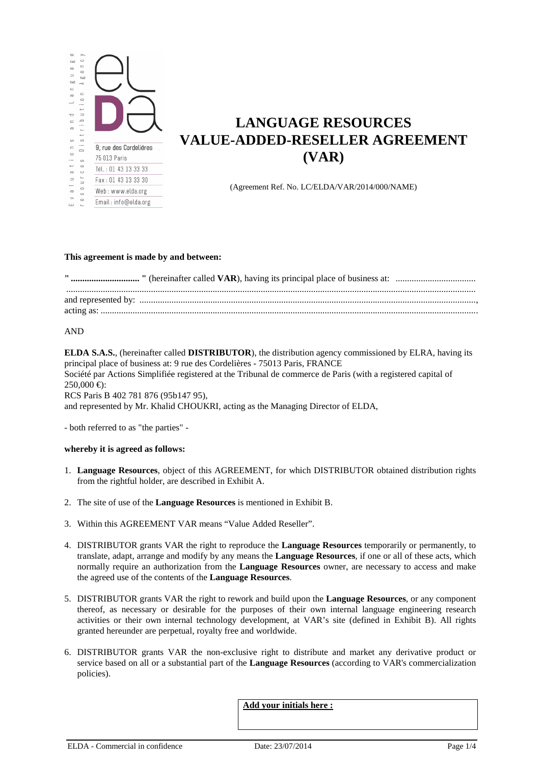

# **LANGUAGE RESOURCES VALUE-ADDED-RESELLER AGREEMENT (VAR)**

(Agreement Ref. No. LC/ELDA/VAR/2014/000/NAME)

#### **This agreement is made by and between:**

### AND

**ELDA S.A.S.**, (hereinafter called **DISTRIBUTOR**), the distribution agency commissioned by ELRA, having its principal place of business at: 9 rue des Cordelières - 75013 Paris, FRANCE Société par Actions Simplifiée registered at the Tribunal de commerce de Paris (with a registered capital of  $250,000 \in \mathbb{R}$ : RCS Paris B 402 781 876 (95b147 95), and represented by Mr. Khalid CHOUKRI, acting as the Managing Director of ELDA,

- both referred to as "the parties" -

### **whereby it is agreed as follows:**

- 1. **Language Resources**, object of this AGREEMENT, for which DISTRIBUTOR obtained distribution rights from the rightful holder, are described in Exhibit A.
- 2. The site of use of the **Language Resources** is mentioned in Exhibit B.
- 3. Within this AGREEMENT VAR means "Value Added Reseller".
- 4. DISTRIBUTOR grants VAR the right to reproduce the **Language Resources** temporarily or permanently, to translate, adapt, arrange and modify by any means the **Language Resources**, if one or all of these acts, which normally require an authorization from the **Language Resources** owner, are necessary to access and make the agreed use of the contents of the **Language Resources**.
- 5. DISTRIBUTOR grants VAR the right to rework and build upon the **Language Resources**, or any component thereof, as necessary or desirable for the purposes of their own internal language engineering research activities or their own internal technology development, at VAR's site (defined in Exhibit B). All rights granted hereunder are perpetual, royalty free and worldwide.
- 6. DISTRIBUTOR grants VAR the non-exclusive right to distribute and market any derivative product or service based on all or a substantial part of the **Language Resources** (according to VAR's commercialization policies).

**Add your initials here :**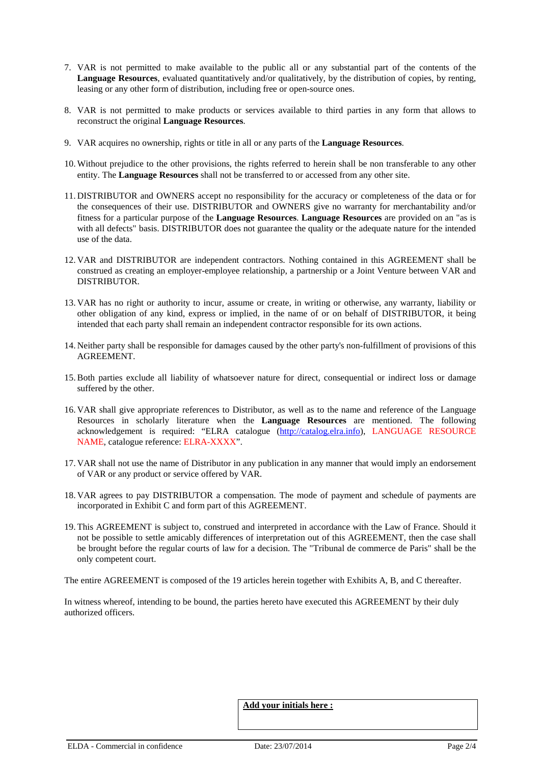- 7. VAR is not permitted to make available to the public all or any substantial part of the contents of the **Language Resources**, evaluated quantitatively and/or qualitatively, by the distribution of copies, by renting, leasing or any other form of distribution, including free or open-source ones.
- 8. VAR is not permitted to make products or services available to third parties in any form that allows to reconstruct the original **Language Resources**.
- 9. VAR acquires no ownership, rights or title in all or any parts of the **Language Resources**.
- 10. Without prejudice to the other provisions, the rights referred to herein shall be non transferable to any other entity. The **Language Resources** shall not be transferred to or accessed from any other site.
- 11. DISTRIBUTOR and OWNERS accept no responsibility for the accuracy or completeness of the data or for the consequences of their use. DISTRIBUTOR and OWNERS give no warranty for merchantability and/or fitness for a particular purpose of the **Language Resources**. **Language Resources** are provided on an "as is with all defects" basis. DISTRIBUTOR does not guarantee the quality or the adequate nature for the intended use of the data.
- 12. VAR and DISTRIBUTOR are independent contractors. Nothing contained in this AGREEMENT shall be construed as creating an employer-employee relationship, a partnership or a Joint Venture between VAR and DISTRIBUTOR.
- 13. VAR has no right or authority to incur, assume or create, in writing or otherwise, any warranty, liability or other obligation of any kind, express or implied, in the name of or on behalf of DISTRIBUTOR, it being intended that each party shall remain an independent contractor responsible for its own actions.
- 14. Neither party shall be responsible for damages caused by the other party's non-fulfillment of provisions of this AGREEMENT.
- 15.Both parties exclude all liability of whatsoever nature for direct, consequential or indirect loss or damage suffered by the other.
- 16. VAR shall give appropriate references to Distributor, as well as to the name and reference of the Language Resources in scholarly literature when the **Language Resources** are mentioned. The following acknowledgement is required: "ELRA catalogue (http://catalog.elra.info), LANGUAGE RESOURCE NAME, catalogue reference: ELRA-XXXX".
- 17. VAR shall not use the name of Distributor in any publication in any manner that would imply an endorsement of VAR or any product or service offered by VAR.
- 18. VAR agrees to pay DISTRIBUTOR a compensation. The mode of payment and schedule of payments are incorporated in Exhibit C and form part of this AGREEMENT.
- 19. This AGREEMENT is subject to, construed and interpreted in accordance with the Law of France. Should it not be possible to settle amicably differences of interpretation out of this AGREEMENT, then the case shall be brought before the regular courts of law for a decision. The "Tribunal de commerce de Paris" shall be the only competent court.

The entire AGREEMENT is composed of the 19 articles herein together with Exhibits A, B, and C thereafter.

In witness whereof, intending to be bound, the parties hereto have executed this AGREEMENT by their duly authorized officers.

#### **Add your initials here :**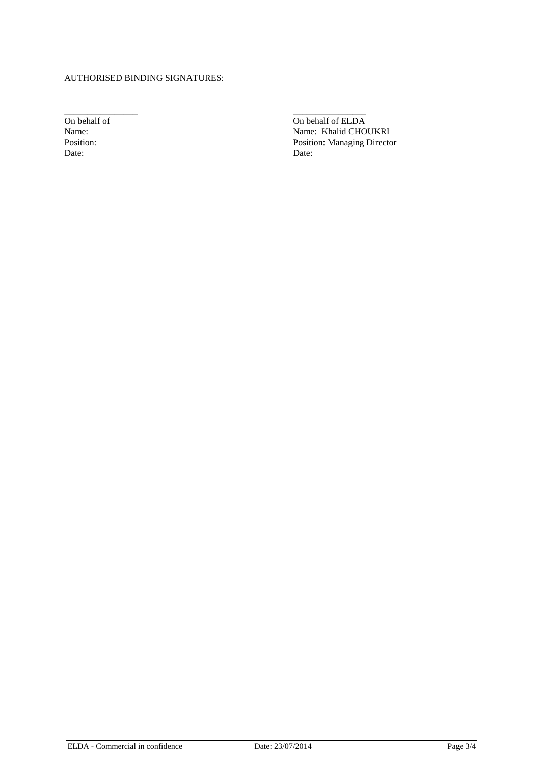## AUTHORISED BINDING SIGNATURES:

Date: Date:

\_\_\_\_\_\_\_\_\_\_\_\_\_\_\_\_ \_\_\_\_\_\_\_\_\_\_\_\_\_\_\_\_ On behalf of CLDA<br>
Name: Manne: Khalid CHO Name: Name: Khalid CHOUKRI Position: **Position:** Position: Managing Director